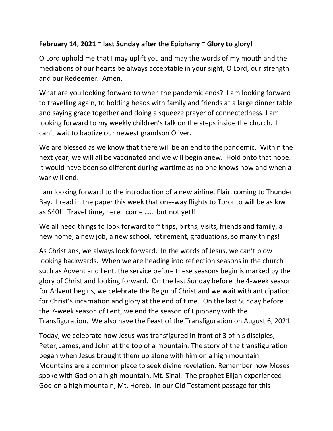## **February 14, 2021 ~ last Sunday after the Epiphany ~ Glory to glory!**

O Lord uphold me that I may uplift you and may the words of my mouth and the mediations of our hearts be always acceptable in your sight, O Lord, our strength and our Redeemer. Amen.

What are you looking forward to when the pandemic ends? I am looking forward to travelling again, to holding heads with family and friends at a large dinner table and saying grace together and doing a squeeze prayer of connectedness. I am looking forward to my weekly children's talk on the steps inside the church. I can't wait to baptize our newest grandson Oliver.

We are blessed as we know that there will be an end to the pandemic. Within the next year, we will all be vaccinated and we will begin anew. Hold onto that hope. It would have been so different during wartime as no one knows how and when a war will end.

I am looking forward to the introduction of a new airline, Flair, coming to Thunder Bay. I read in the paper this week that one-way flights to Toronto will be as low as \$40!! Travel time, here I come …… but not yet!!

We all need things to look forward to  $\sim$  trips, births, visits, friends and family, a new home, a new job, a new school, retirement, graduations, so many things!

As Christians, we always look forward. In the words of Jesus, we can't plow looking backwards. When we are heading into reflection seasons in the church such as Advent and Lent, the service before these seasons begin is marked by the glory of Christ and looking forward. On the last Sunday before the 4-week season for Advent begins, we celebrate the Reign of Christ and we wait with anticipation for Christ's incarnation and glory at the end of time. On the last Sunday before the 7-week season of Lent, we end the season of Epiphany with the Transfiguration. We also have the Feast of the Transfiguration on August 6, 2021.

Today, we celebrate how Jesus was transfigured in front of 3 of his disciples, Peter, James, and John at the top of a mountain. The story of the transfiguration began when Jesus brought them up alone with him on a high mountain. Mountains are a common place to seek divine revelation. Remember how Moses spoke with God on a high mountain, Mt. Sinai. The prophet Elijah experienced God on a high mountain, Mt. Horeb. In our Old Testament passage for this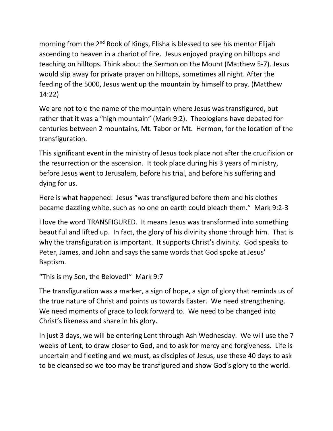morning from the 2<sup>nd</sup> Book of Kings, Elisha is blessed to see his mentor Elijah ascending to heaven in a chariot of fire. Jesus enjoyed praying on hilltops and teaching on hilltops. Think about the Sermon on the Mount (Matthew 5-7). Jesus would slip away for private prayer on hilltops, sometimes all night. After the feeding of the 5000, Jesus went up the mountain by himself to pray. (Matthew 14:22)

We are not told the name of the mountain where Jesus was transfigured, but rather that it was a "high mountain" (Mark 9:2). Theologians have debated for centuries between 2 mountains, Mt. Tabor or Mt. Hermon, for the location of the transfiguration.

This significant event in the ministry of Jesus took place not after the crucifixion or the resurrection or the ascension. It took place during his 3 years of ministry, before Jesus went to Jerusalem, before his trial, and before his suffering and dying for us.

Here is what happened: Jesus "was transfigured before them and his clothes became dazzling white, such as no one on earth could bleach them." Mark 9:2-3

I love the word TRANSFIGURED. It means Jesus was transformed into something beautiful and lifted up. In fact, the glory of his divinity shone through him. That is why the transfiguration is important. It supports Christ's divinity. God speaks to Peter, James, and John and says the same words that God spoke at Jesus' Baptism.

```
"This is my Son, the Beloved!" Mark 9:7
```
The transfiguration was a marker, a sign of hope, a sign of glory that reminds us of the true nature of Christ and points us towards Easter. We need strengthening. We need moments of grace to look forward to. We need to be changed into Christ's likeness and share in his glory.

In just 3 days, we will be entering Lent through Ash Wednesday. We will use the 7 weeks of Lent, to draw closer to God, and to ask for mercy and forgiveness. Life is uncertain and fleeting and we must, as disciples of Jesus, use these 40 days to ask to be cleansed so we too may be transfigured and show God's glory to the world.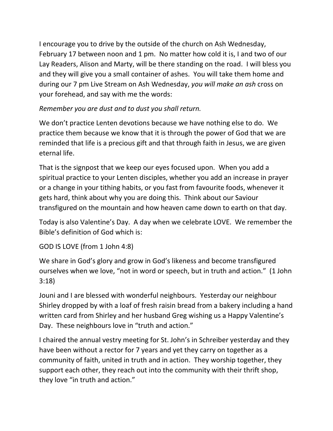I encourage you to drive by the outside of the church on Ash Wednesday, February 17 between noon and 1 pm. No matter how cold it is, I and two of our Lay Readers, Alison and Marty, will be there standing on the road. I will bless you and they will give you a small container of ashes. You will take them home and during our 7 pm Live Stream on Ash Wednesday, *you will make an ash* cross on your forehead, and say with me the words:

## *Remember you are dust and to dust you shall return.*

We don't practice Lenten devotions because we have nothing else to do. We practice them because we know that it is through the power of God that we are reminded that life is a precious gift and that through faith in Jesus, we are given eternal life.

That is the signpost that we keep our eyes focused upon. When you add a spiritual practice to your Lenten disciples, whether you add an increase in prayer or a change in your tithing habits, or you fast from favourite foods, whenever it gets hard, think about why you are doing this. Think about our Saviour transfigured on the mountain and how heaven came down to earth on that day.

Today is also Valentine's Day. A day when we celebrate LOVE. We remember the Bible's definition of God which is:

GOD IS LOVE (from 1 John 4:8)

We share in God's glory and grow in God's likeness and become transfigured ourselves when we love, "not in word or speech, but in truth and action." (1 John 3:18)

Jouni and I are blessed with wonderful neighbours. Yesterday our neighbour Shirley dropped by with a loaf of fresh raisin bread from a bakery including a hand written card from Shirley and her husband Greg wishing us a Happy Valentine's Day. These neighbours love in "truth and action."

I chaired the annual vestry meeting for St. John's in Schreiber yesterday and they have been without a rector for 7 years and yet they carry on together as a community of faith, united in truth and in action. They worship together, they support each other, they reach out into the community with their thrift shop, they love "in truth and action."